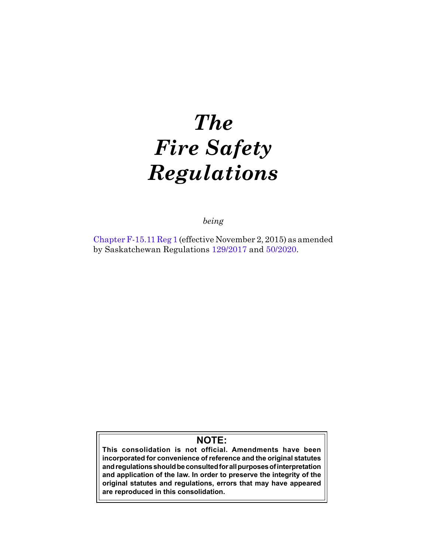# *The Fire Safety Regulations*

*being*

[Chapter F-15.11 Reg 1](https://publications.saskatchewan.ca:443/api/v1/products/76568/formats/85850/download) (effective November 2, 2015) as amended by Saskatchewan Regulations [129/2017](https://publications.saskatchewan.ca:443/api/v1/products/88328/formats/105010/download) and [50/2020](https://publications.saskatchewan.ca:443/api/v1/products/105365/formats/117618/download).

# **NOTE:**

**This consolidation is not official. Amendments have been incorporated for convenience of reference and the original statutes and regulations should be consulted for all purposes of interpretation and application of the law. In order to preserve the integrity of the original statutes and regulations, errors that may have appeared are reproduced in this consolidation.**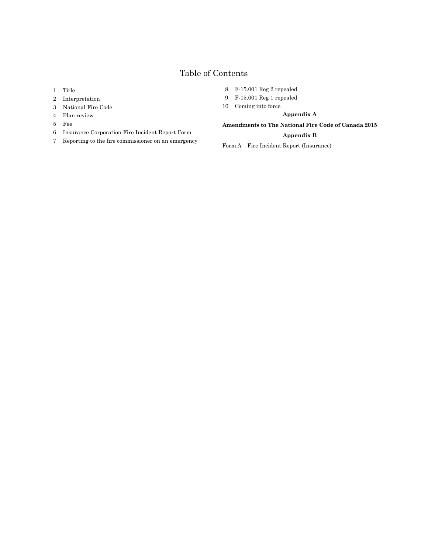# Table of Contents

- [Title](#page-2-0)
- [Interpretation](#page-2-0)
- [National Fire Code](#page-3-0)
- [Plan review](#page-3-0)
- [Fee](#page-3-0)
- [Insurance Corporation Fire Incident Report Form](#page-3-0)
- [Reporting to the fire commissioner on an emergency](#page-3-0)
- [F-15.001 Reg 2 repealed](#page-3-0)
- [F-15.001 Reg 1 repealed](#page-3-0)
- [Coming into force](#page-4-0)

**[Appendix A](#page-4-0)**

#### **Amendments to The National Fire Code of Canada 2015**

#### **Appendix B**

Form A Fire Incident Report (Insurance)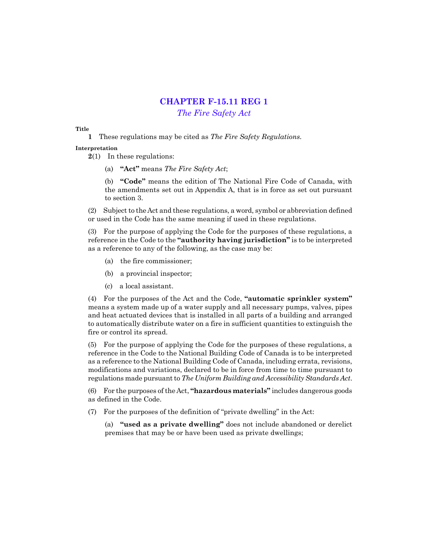# **CHAPTER F-15.11 REG 1**

*[The Fire Safety Act](http://www.qp.gov.sk.ca/documents/English/Statutes/Statutes/F15-11.pdf)*

#### <span id="page-2-0"></span>**Title**

**1** These regulations may be cited as *The Fire Safety Regulations.*

**Interpretation**

**2**(1) In these regulations:

(a) **"Act"** means *The Fire Safety Act*;

(b) **"Code"** means the edition of The National Fire Code of Canada, with the amendments set out in Appendix A, that is in force as set out pursuant to section 3.

(2) Subject to the Act and these regulations, a word, symbol or abbreviation defined or used in the Code has the same meaning if used in these regulations.

(3) For the purpose of applying the Code for the purposes of these regulations, a reference in the Code to the **"authority having jurisdiction"** is to be interpreted as a reference to any of the following, as the case may be:

- (a) the fire commissioner;
- (b) a provincial inspector;
- (c) a local assistant.

(4) For the purposes of the Act and the Code, **"automatic sprinkler system"** means a system made up of a water supply and all necessary pumps, valves, pipes and heat actuated devices that is installed in all parts of a building and arranged to automatically distribute water on a fire in sufficient quantities to extinguish the fire or control its spread.

(5) For the purpose of applying the Code for the purposes of these regulations, a reference in the Code to the National Building Code of Canada is to be interpreted as a reference to the National Building Code of Canada, including errata, revisions, modifications and variations, declared to be in force from time to time pursuant to regulations made pursuant to *The Uniform Building and Accessibility Standards Act*.

(6) For the purposes of the Act, **"hazardous materials"** includes dangerous goods as defined in the Code.

(7) For the purposes of the definition of "private dwelling" in the Act:

(a) **"used as a private dwelling"** does not include abandoned or derelict premises that may be or have been used as private dwellings;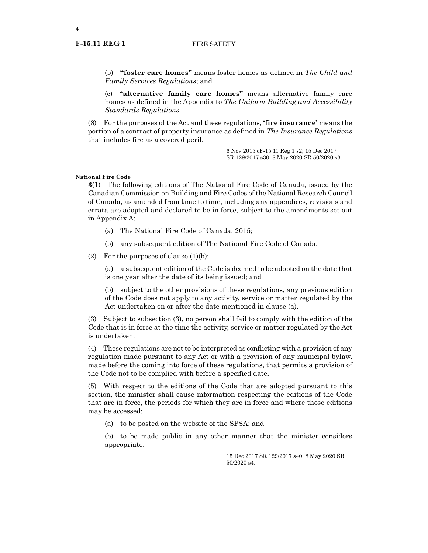<span id="page-3-0"></span>4

(b) **"foster care homes"** means foster homes as defined in *The Child and Family Services Regulations*; and

(c) **"alternative family care homes"** means alternative family care homes as defined in the Appendix to *The Uniform Building and Accessibility Standards Regulations*.

(8) For the purposes of the Act and these regulations, **'fire insurance'** means the portion of a contract of property insurance as defined in *The Insurance Regulations* that includes fire as a covered peril.

> 6 Nov 2015 cF-15.11 Reg 1 s2; 15 Dec 2017 SR 129/2017 s30; 8 May 2020 SR 50/2020 s3.

#### **National Fire Code**

**3**(1) The following editions of The National Fire Code of Canada, issued by the Canadian Commission on Building and Fire Codes of the National Research Council of Canada, as amended from time to time, including any appendices, revisions and errata are adopted and declared to be in force, subject to the amendments set out in Appendix A:

- (a) The National Fire Code of Canada, 2015;
- (b) any subsequent edition of The National Fire Code of Canada.

(2) For the purposes of clause  $(1)(b)$ :

(a) a subsequent edition of the Code is deemed to be adopted on the date that is one year after the date of its being issued; and

(b) subject to the other provisions of these regulations, any previous edition of the Code does not apply to any activity, service or matter regulated by the Act undertaken on or after the date mentioned in clause (a).

(3) Subject to subsection (3), no person shall fail to comply with the edition of the Code that is in force at the time the activity, service or matter regulated by the Act is undertaken.

(4) These regulations are not to be interpreted as conflicting with a provision of any regulation made pursuant to any Act or with a provision of any municipal bylaw, made before the coming into force of these regulations, that permits a provision of the Code not to be complied with before a specified date.

(5) With respect to the editions of the Code that are adopted pursuant to this section, the minister shall cause information respecting the editions of the Code that are in force, the periods for which they are in force and where those editions may be accessed:

(a) to be posted on the website of the SPSA; and

(b) to be made public in any other manner that the minister considers appropriate.

> 15 Dec 2017 SR 129/2017 s40; 8 May 2020 SR 50/2020 s4.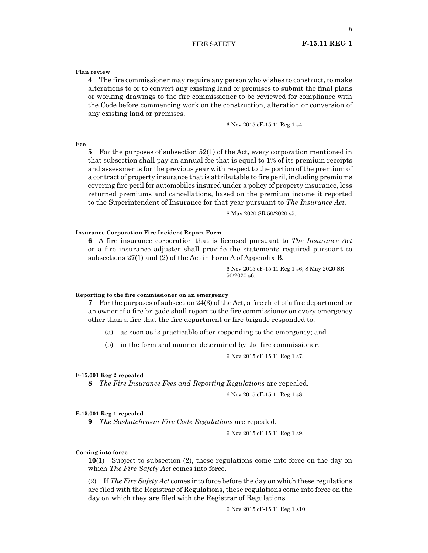#### FIRE SAFETY **F-15.11 REG 1**

#### <span id="page-4-0"></span>**Plan review**

**4** The fire commissioner may require any person who wishes to construct, to make alterations to or to convert any existing land or premises to submit the final plans or working drawings to the fire commissioner to be reviewed for compliance with the Code before commencing work on the construction, alteration or conversion of any existing land or premises.

6 Nov 2015 cF-15.11 Reg 1 s4.

**Fee**

**5** For the purposes of subsection 52(1) of the Act, every corporation mentioned in that subsection shall pay an annual fee that is equal to 1% of its premium receipts and assessments for the previous year with respect to the portion of the premium of a contract of property insurance that is attributable to fire peril, including premiums covering fire peril for automobiles insured under a policy of property insurance, less returned premiums and cancellations, based on the premium income it reported to the Superintendent of Insurance for that year pursuant to *The Insurance Act.*

8 May 2020 SR 50/2020 s5.

#### **Insurance Corporation Fire Incident Report Form**

**6** A fire insurance corporation that is licensed pursuant to *The Insurance Act*  or a fire insurance adjuster shall provide the statements required pursuant to subsections 27(1) and (2) of the Act in Form A of Appendix B.

> 6 Nov 2015 cF-15.11 Reg 1 s6; 8 May 2020 SR 50/2020 s6.

#### **Reporting to the fire commissioner on an emergency**

**7** For the purposes of subsection 24(3) of the Act, a fire chief of a fire department or an owner of a fire brigade shall report to the fire commissioner on every emergency other than a fire that the fire department or fire brigade responded to:

- (a) as soon as is practicable after responding to the emergency; and
- (b) in the form and manner determined by the fire commissioner.

6 Nov 2015 cF-15.11 Reg 1 s7.

#### **F-15.001 Reg 2 repealed**

**8** *The Fire Insurance Fees and Reporting Regulations* are repealed.

6 Nov 2015 cF-15.11 Reg 1 s8.

#### **F-15.001 Reg 1 repealed**

**9** *The Saskatchewan Fire Code Regulations* are repealed.

6 Nov 2015 cF-15.11 Reg 1 s9.

#### **Coming into force**

**10**(1) Subject to subsection (2), these regulations come into force on the day on which *The Fire Safety Act* comes into force.

(2) If *The Fire Safety Act* comes into force before the day on which these regulations are filed with the Registrar of Regulations, these regulations come into force on the day on which they are filed with the Registrar of Regulations.

6 Nov 2015 cF-15.11 Reg 1 s10.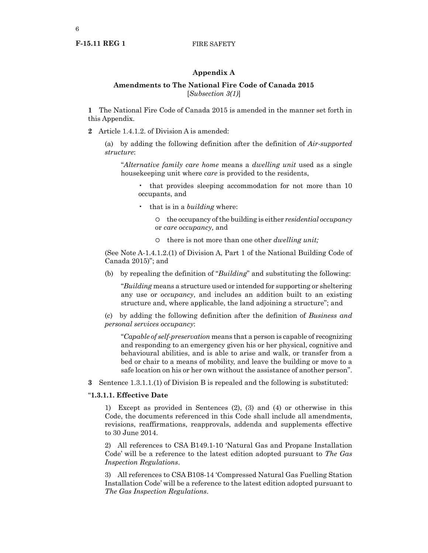#### **Appendix A**

#### **Amendments to The National Fire Code of Canada 2015** [*Subsection 3(1)*]

**1** The National Fire Code of Canada 2015 is amended in the manner set forth in this Appendix.

**2** Article 1.4.1.2. of Division A is amended:

(a) by adding the following definition after the definition of *Air-supported structure*:

"*Alternative family care home* means a *dwelling unit* used as a single housekeeping unit where *care* is provided to the residents,

• that provides sleeping accommodation for not more than 10 occupants, and

• that is in a *building* where:

¡ the occupancy of the building is either *residential occupancy* or *care occupancy,* and

¡ there is not more than one other *dwelling unit;*

(See Note A-1.4.1.2.(1) of Division A, Part 1 of the National Building Code of Canada 2015)"; and

(b) by repealing the definition of "*Building*" and substituting the following:

"*Building* means a structure used or intended for supporting or sheltering any use or *occupancy*, and includes an addition built to an existing structure and, where applicable, the land adjoining a structure"; and

(c) by adding the following definition after the definition of *Business and personal services occupancy*:

"*Capable of self-preservation* means that a person is capable of recognizing and responding to an emergency given his or her physical, cognitive and behavioural abilities, and is able to arise and walk, or transfer from a bed or chair to a means of mobility, and leave the building or move to a safe location on his or her own without the assistance of another person".

**3** Sentence 1.3.1.1.(1) of Division B is repealed and the following is substituted:

#### "**1.3.1.1. Effective Date**

1) Except as provided in Sentences (2), (3) and (4) or otherwise in this Code, the documents referenced in this Code shall include all amendments, revisions, reaffirmations, reapprovals, addenda and supplements effective to 30 June 2014.

2) All references to CSA B149.1-10 'Natural Gas and Propane Installation Code' will be a reference to the latest edition adopted pursuant to *The Gas Inspection Regulations*.

3) All references to CSA B108-14 'Compressed Natural Gas Fuelling Station Installation Code' will be a reference to the latest edition adopted pursuant to *The Gas Inspection Regulations*.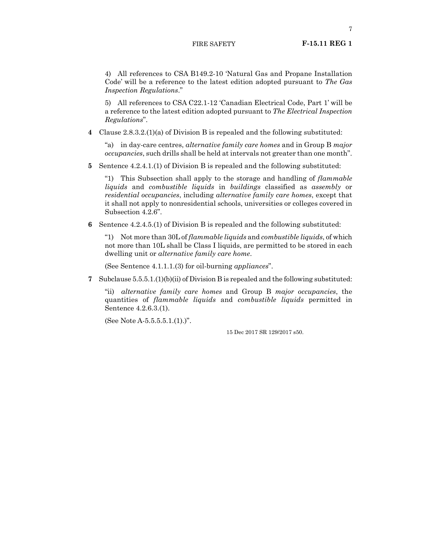#### FIRE SAFETY **F-15.11 REG 1**

4) All references to CSA B149.2-10 'Natural Gas and Propane Installation Code' will be a reference to the latest edition adopted pursuant to *The Gas Inspection Regulations*."

5) All references to CSA C22.1-12 'Canadian Electrical Code, Part 1' will be a reference to the latest edition adopted pursuant to *The Electrical Inspection Regulations*".

**4** Clause 2.8.3.2.(1)(a) of Division B is repealed and the following substituted:

"a) in day-care centres, *alternative family care homes* and in Group B *major occupancies*, such drills shall be held at intervals not greater than one month".

**5** Sentence 4.2.4.1.(1) of Division B is repealed and the following substituted:

"1) This Subsection shall apply to the storage and handling of *flammable liquids* and *combustible liquids* in *buildings* classified as *assembly* or *residential occupancies*, including *alternative family care homes*, except that it shall not apply to nonresidential schools, universities or colleges covered in Subsection 4.2.6".

**6** Sentence 4.2.4.5.(1) of Division B is repealed and the following substituted:

"1) Not more than 30L of *flammable liquids* and *combustible liquids*, of which not more than 10L shall be Class I liquids, are permitted to be stored in each dwelling unit or *alternative family care home*.

(See Sentence 4.1.1.1.(3) for oil-burning *appliances*".

**7** Subclause 5.5.5.1.(1)(b)(ii) of Division B is repealed and the following substituted:

"ii) *alternative family care homes* and Group B *major occupancies*, the quantities of *flammable liquids* and *combustible liquids* permitted in Sentence 4.2.6.3.(1).

(See Note A-5.5.5.5.1.(1).)".

15 Dec 2017 SR 129/2017 s50.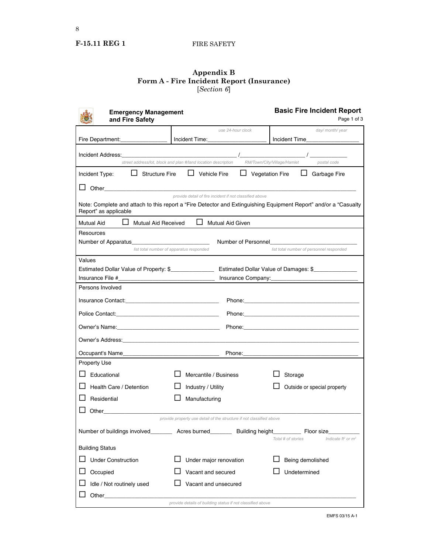## **F-15.11 REG 1** FIRE SAFETY

#### **Appendix B Form A - Fire Incident Report (Insurance)** [*Section 6*]

| <b>Emergency Management</b><br>and Fire Safety             |                                                                                                                    | <b>Basic Fire Incident Report</b><br>Page 1 of 3                                                                 |  |
|------------------------------------------------------------|--------------------------------------------------------------------------------------------------------------------|------------------------------------------------------------------------------------------------------------------|--|
|                                                            | use 24-hour clock                                                                                                  | day/month/year                                                                                                   |  |
| Fire Department:                                           | Incident Time:                                                                                                     | Incident Time                                                                                                    |  |
| Incident Address:                                          |                                                                                                                    |                                                                                                                  |  |
|                                                            | street address/lot, block and plan #/land location description                                                     | RM/Town/City/Village/Hamlet<br>postal code                                                                       |  |
| Incident Type:                                             | $\Box$ Structure Fire $\Box$ Vehicle Fire                                                                          | $\Box$ Vegetation Fire<br>$\Box$ Garbage Fire                                                                    |  |
|                                                            |                                                                                                                    |                                                                                                                  |  |
| Report" as applicable                                      | provide detail of fire incident if not classified above                                                            | Note: Complete and attach to this report a "Fire Detector and Extinguishing Equipment Report" and/or a "Casualty |  |
| Mutual Aid Received<br>Mutual Aid                          | $\Box$ Mutual Aid Given                                                                                            |                                                                                                                  |  |
| Resources                                                  |                                                                                                                    |                                                                                                                  |  |
|                                                            | Number of Personnel                                                                                                |                                                                                                                  |  |
|                                                            | list total number of apparatus responded                                                                           | list total number of personnel responded                                                                         |  |
| Values                                                     | Estimated Dollar Value of Property: \$________________________ Estimated Dollar Value of Damages: \$______________ |                                                                                                                  |  |
| Insurance File #                                           |                                                                                                                    |                                                                                                                  |  |
| Persons Involved                                           |                                                                                                                    |                                                                                                                  |  |
|                                                            |                                                                                                                    |                                                                                                                  |  |
|                                                            |                                                                                                                    |                                                                                                                  |  |
|                                                            |                                                                                                                    |                                                                                                                  |  |
|                                                            |                                                                                                                    |                                                                                                                  |  |
| Occupant's Name_                                           | Phone:<br>the contract of the contract of the contract of the contract of the contract of                          |                                                                                                                  |  |
| <b>Property Use</b>                                        |                                                                                                                    |                                                                                                                  |  |
| $\Box$ Educational                                         | Mercantile / Business                                                                                              | Storage                                                                                                          |  |
| Health Care / Detention                                    | Industry / Utility                                                                                                 | Outside or special property                                                                                      |  |
| Residential                                                | Manufacturing                                                                                                      |                                                                                                                  |  |
| Other___________________                                   |                                                                                                                    |                                                                                                                  |  |
|                                                            | provide property use detail of the structure if not classified above                                               |                                                                                                                  |  |
|                                                            | Number of buildings involved__________ Acres burned__________ Building height___________ Floor size____            | Total # of stories<br>Indicate $ft^2$ or $m^2$                                                                   |  |
| <b>Building Status</b>                                     |                                                                                                                    |                                                                                                                  |  |
| <b>Under Construction</b>                                  | Under major renovation                                                                                             | Being demolished                                                                                                 |  |
| Occupied                                                   | Vacant and secured                                                                                                 | Undetermined                                                                                                     |  |
| Idle / Not routinely used                                  | Vacant and unsecured                                                                                               |                                                                                                                  |  |
| Other                                                      |                                                                                                                    |                                                                                                                  |  |
| provide details of building status if not classified above |                                                                                                                    |                                                                                                                  |  |

EMFS 03/15 A-1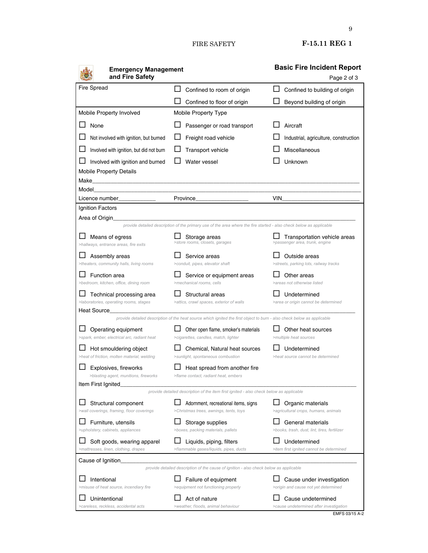FIRE SAFETY **F-15.11 REG 1**

| <b>Emergency Management</b>                                           |                                                                                                                         | <b>Basic Fire Incident Report</b>                                 |
|-----------------------------------------------------------------------|-------------------------------------------------------------------------------------------------------------------------|-------------------------------------------------------------------|
| and Fire Safety                                                       |                                                                                                                         | Page 2 of 3                                                       |
| <b>Fire Spread</b>                                                    | Confined to room of origin                                                                                              | Confined to building of origin                                    |
|                                                                       | Confined to floor of origin                                                                                             | Beyond building of origin                                         |
| Mobile Property Involved                                              | Mobile Property Type                                                                                                    |                                                                   |
| None                                                                  | Passenger or road transport                                                                                             | Aircraft                                                          |
| Not involved with ignition, but burned                                | Freight road vehicle                                                                                                    | Industrial, agriculture, construction                             |
| Involved with ignition, but did not burn                              | <b>Transport vehicle</b>                                                                                                | Miscellaneous                                                     |
| Involved with ignition and burned                                     | Water vessel                                                                                                            | Unknown                                                           |
| <b>Mobile Property Details</b>                                        |                                                                                                                         |                                                                   |
| Make<br>Model                                                         |                                                                                                                         |                                                                   |
| Licence number                                                        | Province                                                                                                                | VIN                                                               |
| Ignition Factors                                                      |                                                                                                                         |                                                                   |
| Area of Origin                                                        | provide detailed description of the primary use of the area where the fire started - also check below as applicable     |                                                                   |
| Means of egress<br>>hallways, entrance areas, fire exits              | Storage areas<br>>store rooms, closets, garages                                                                         | Transportation vehicle areas<br>>passenger area, trunk, engine    |
| Assembly areas<br>>theaters, community halls, living rooms            | Service areas<br>>conduit, pipes, elevator shaft                                                                        | Outside areas<br>>streets, parking lots, railway tracks           |
| <b>Function area</b><br>>bedroom, kitchen, office, dining room        | Service or equipment areas<br>>mechanical rooms, cells                                                                  | Other areas<br>>areas not otherwise listed                        |
| Technical processing area<br>>laboratories, operating rooms, stages   | Structural areas<br>>attics, crawl spaces, exterior of walls                                                            | Undetermined<br>>area or origin cannot be determined              |
| <b>Heat Source</b>                                                    | provide detailed description of the heat source which ignited the first object to burn - also check below as applicable |                                                                   |
| Operating equipment<br>>spark, ember, electrical arc, radiant heat    | Other open flame, smoker's materials<br>>cigarettes, candles, match, lighter                                            | Other heat sources<br>>multiple heat sources                      |
| Hot smouldering object<br>>heat of friction, molten material, welding | Chemical, Natural heat sources<br>>sunlight, spontaneous combustion                                                     | Undetermined<br>>heat source cannot be determined                 |
| Explosives, fireworks<br>>blasting agent, munitions, fireworks        | Heat spread from another fire<br>>flame contact, radiant heat, embers                                                   |                                                                   |
| Item First Ignited                                                    | provide detailed description of the item first ignited - also check below as applicable                                 |                                                                   |
| Structural component<br>>wall coverings, framing, floor coverings     | Adornment, recreational items, signs<br>>Christmas trees, awnings, tents, toys                                          | Organic materials<br>>agricultural crops, humans, animals         |
| Furniture, utensils<br>>upholstery, cabinets, appliances              | Storage supplies<br>>boxes, packing materials, pallets                                                                  | General materials<br>>books, trash, dust, lint, tires, fertilizer |
| Soft goods, wearing apparel<br>>mattresses, linen, clothing, drapes   | Liquids, piping, filters<br>>flammable gases/liquids, pipes, ducts                                                      | Undetermined<br>>item first ignited cannot be determined          |
| Cause of Ignition                                                     |                                                                                                                         |                                                                   |
|                                                                       | provide detailed description of the cause of ignition - also check below as applicable                                  |                                                                   |
| Intentional<br>>misuse of heat source, incendiary fire                | Failure of equipment<br>>equipment not functioning properly                                                             | Cause under investigation<br>>origin and cause not yet determined |
| Unintentional                                                         | Act of nature                                                                                                           | Cause undetermined                                                |
| >careless, reckless, accidental acts                                  | >weather, floods, animal behaviour                                                                                      | >cause undetermined after investigation                           |

9

EMFS 03/15 A-2